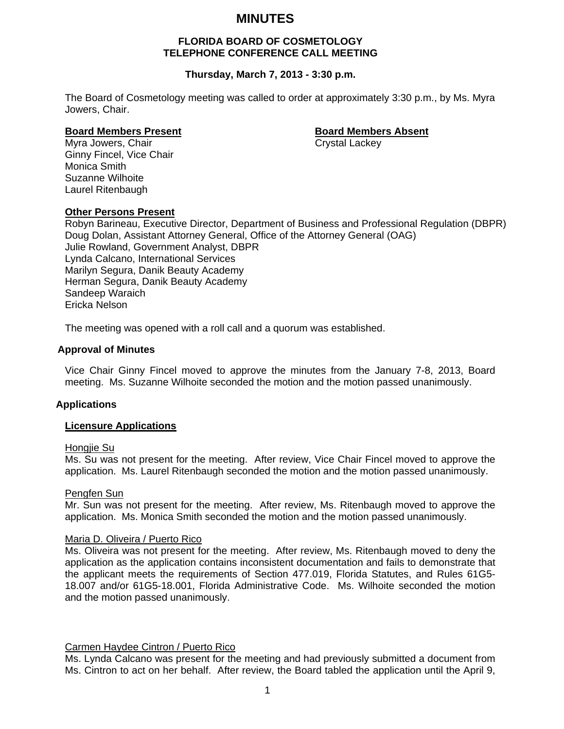# **MINUTES**

# **FLORIDA BOARD OF COSMETOLOGY TELEPHONE CONFERENCE CALL MEETING**

# **Thursday, March 7, 2013 - 3:30 p.m.**

The Board of Cosmetology meeting was called to order at approximately 3:30 p.m., by Ms. Myra Jowers, Chair.

#### **Board Members Present Constraining Board Members Absent**

Myra Jowers, Chair Chair Crystal Lackey Ginny Fincel, Vice Chair Monica Smith Suzanne Wilhoite Laurel Ritenbaugh

#### **Other Persons Present**

Robyn Barineau, Executive Director, Department of Business and Professional Regulation (DBPR) Doug Dolan, Assistant Attorney General, Office of the Attorney General (OAG) Julie Rowland, Government Analyst, DBPR Lynda Calcano, International Services Marilyn Segura, Danik Beauty Academy Herman Segura, Danik Beauty Academy Sandeep Waraich Ericka Nelson

The meeting was opened with a roll call and a quorum was established.

#### **Approval of Minutes**

Vice Chair Ginny Fincel moved to approve the minutes from the January 7-8, 2013, Board meeting. Ms. Suzanne Wilhoite seconded the motion and the motion passed unanimously.

#### **Applications**

#### **Licensure Applications**

#### Hongjie Su

Ms. Su was not present for the meeting. After review, Vice Chair Fincel moved to approve the application. Ms. Laurel Ritenbaugh seconded the motion and the motion passed unanimously.

#### Pengfen Sun

Mr. Sun was not present for the meeting. After review, Ms. Ritenbaugh moved to approve the application. Ms. Monica Smith seconded the motion and the motion passed unanimously.

#### Maria D. Oliveira / Puerto Rico

Ms. Oliveira was not present for the meeting. After review, Ms. Ritenbaugh moved to deny the application as the application contains inconsistent documentation and fails to demonstrate that the applicant meets the requirements of Section 477.019, Florida Statutes, and Rules 61G5- 18.007 and/or 61G5-18.001, Florida Administrative Code. Ms. Wilhoite seconded the motion and the motion passed unanimously.

#### Carmen Haydee Cintron / Puerto Rico

Ms. Lynda Calcano was present for the meeting and had previously submitted a document from Ms. Cintron to act on her behalf. After review, the Board tabled the application until the April 9,